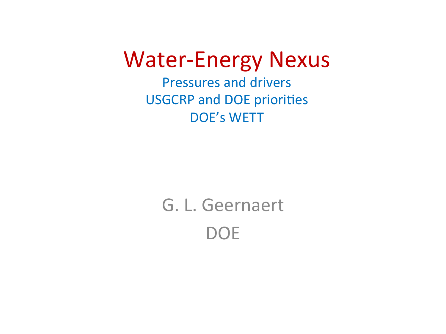#### **Water-Energy Nexus**

**Pressures and drivers USGCRP and DOE priorities DOE's WETT** 

> G. L. Geernaert **DOE**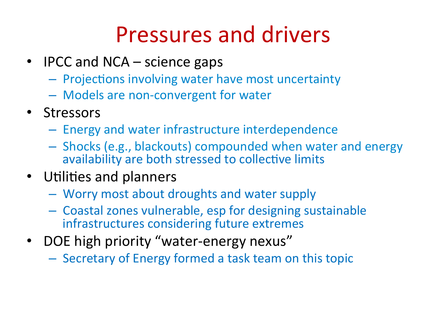### Pressures and drivers

- IPCC and NCA science gaps
	- $-$  Projections involving water have most uncertainty
	- $-$  Models are non-convergent for water
- Stressors
	- $-$  Energy and water infrastructure interdependence
	- $-$  Shocks (e.g., blackouts) compounded when water and energy availability are both stressed to collective limits
- Utilities and planners
	- $-$  Worry most about droughts and water supply
	- $-$  Coastal zones vulnerable, esp for designing sustainable infrastructures considering future extremes
- DOE high priority "water-energy nexus"
	- $-$  Secretary of Energy formed a task team on this topic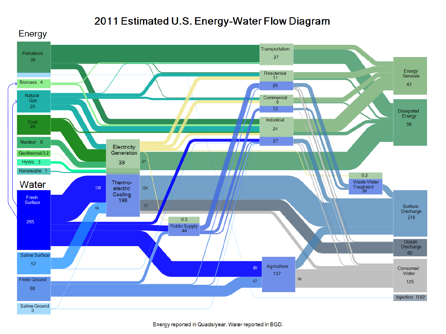#### 2011 Estimated U.S. Energy-Water Flow Diagram

Energy

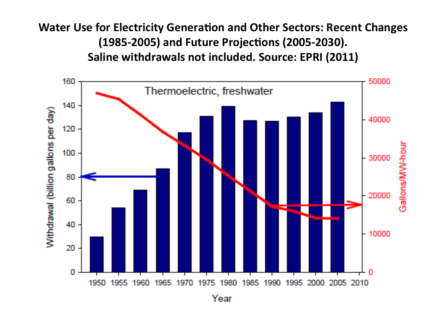**Water Use for Electricity Generation and Other Sectors: Recent Changes** (1985-2005) and Future Projections (2005-2030). Saline withdrawals not included. Source: EPRI (2011)



Year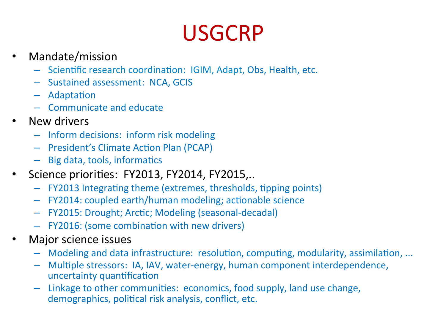## USGCRP

- Mandate/mission
	- Scientific research coordination: IGIM, Adapt, Obs, Health, etc.
	- Sustained assessment: NCA, GCIS
	- $-$  Adaptation
	- Communicate and educate
- New drivers
	- $-$  Inform decisions: inform risk modeling
	- President's Climate Action Plan (PCAP)
	- $-$  Big data, tools, informatics
- Science priorities: FY2013, FY2014, FY2015,..
	- $-$  FY2013 Integrating theme (extremes, thresholds, tipping points)
	- FY2014: coupled earth/human modeling; actionable science
	- FY2015: Drought; Arctic; Modeling (seasonal-decadal)
	- FY2016: (some combination with new drivers)
- Major science issues
	- Modeling and data infrastructure: resolution, computing, modularity, assimilation, ...
	- Multiple stressors: IA, IAV, water-energy, human component interdependence, uncertainty quantification
	- Linkage to other communities: economics, food supply, land use change, demographics, political risk analysis, conflict, etc.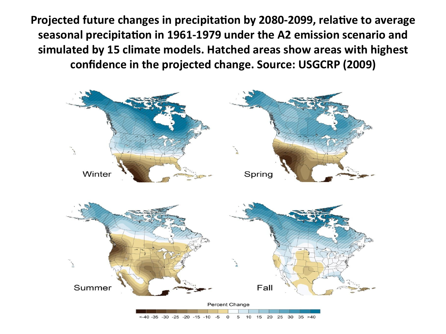Projected future changes in precipitation by 2080-2099, relative to average seasonal precipitation in 1961-1979 under the A2 emission scenario and simulated by 15 climate models. Hatched areas show areas with highest confidence in the projected change. Source: USGCRP (2009)

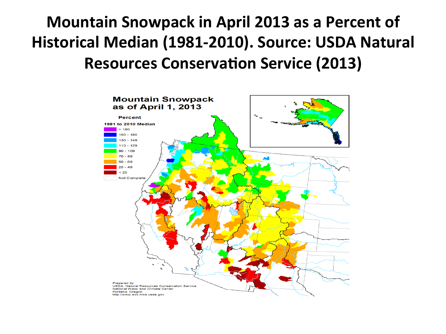#### **Mountain Snowpack in April 2013 as a Percent of** Historical Median (1981-2010). Source: USDA Natural **Resources Conservation Service (2013)**

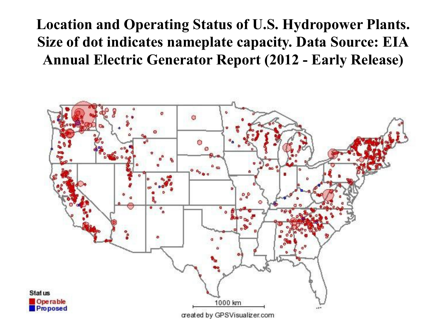**Location and Operating Status of U.S. Hydropower Plants. Size of dot indicates nameplate capacity. Data Source: EIA Annual Electric Generator Report (2012 - Early Release)**